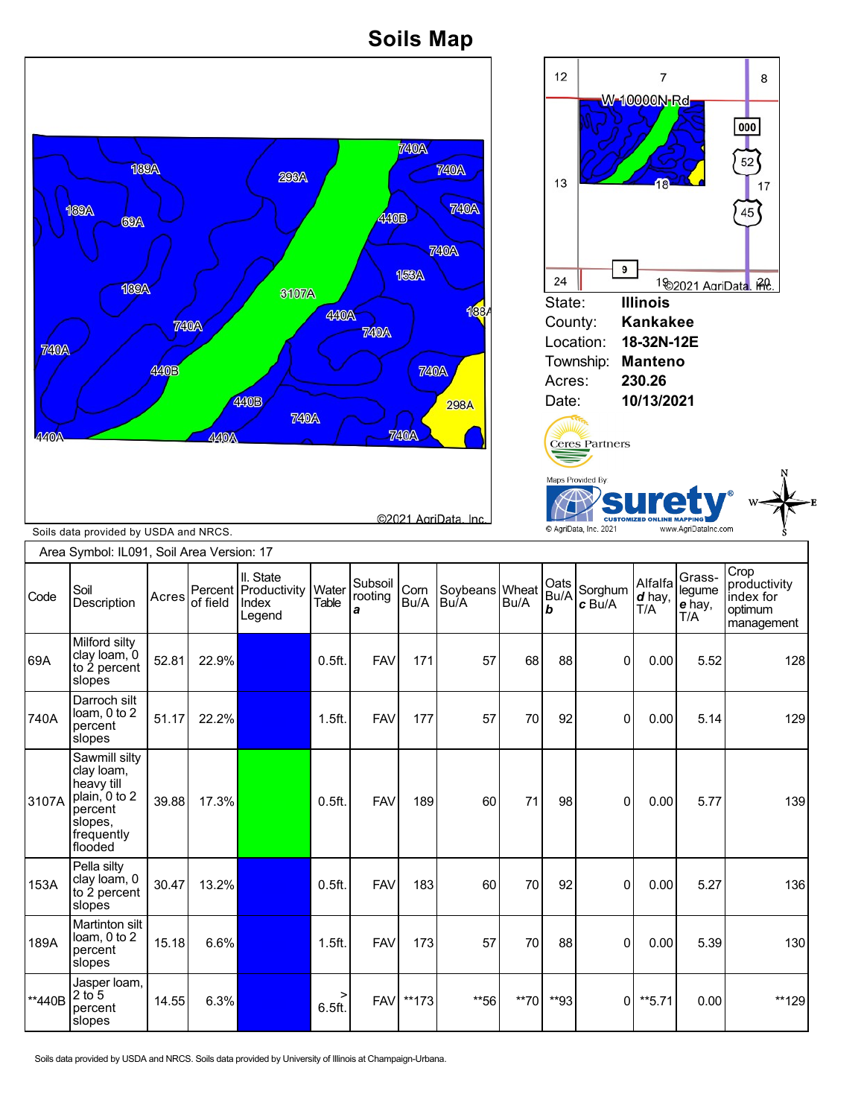## **Soils Map**



Soils data provided by USDA and NRCS. Soils data provided by University of Illinois at Champaign-Urbana.